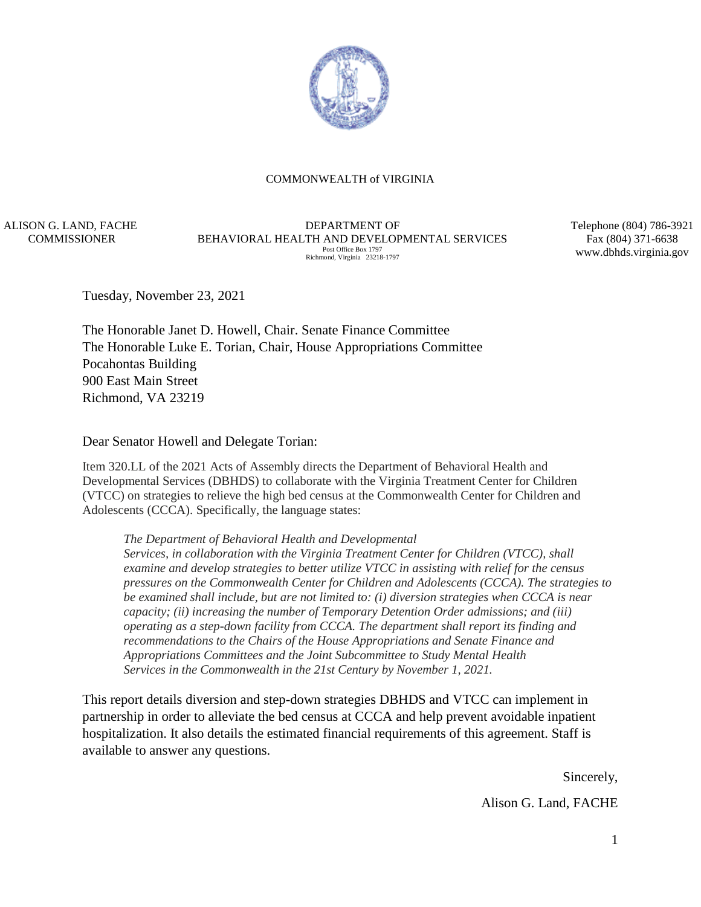

#### COMMONWEALTH of VIRGINIA

ALISON G. LAND, FACHE **COMMISSIONER** 

DEPARTMENT OF BEHAVIORAL HEALTH AND DEVELOPMENTAL SERVICES Post Office Box 1797 Richmond, Virginia 23218-1797

Telephone (804) 786-3921 Fax (804) 371-6638 www.dbhds.virginia.gov

Tuesday, November 23, 2021

The Honorable Janet D. Howell, Chair. Senate Finance Committee The Honorable Luke E. Torian, Chair, House Appropriations Committee Pocahontas Building 900 East Main Street Richmond, VA 23219

Dear Senator Howell and Delegate Torian:

Item 320.LL of the 2021 Acts of Assembly directs the Department of Behavioral Health and Developmental Services (DBHDS) to collaborate with the Virginia Treatment Center for Children (VTCC) on strategies to relieve the high bed census at the Commonwealth Center for Children and Adolescents (CCCA). Specifically, the language states:

*The Department of Behavioral Health and Developmental* 

*Services, in collaboration with the Virginia Treatment Center for Children (VTCC), shall examine and develop strategies to better utilize VTCC in assisting with relief for the census pressures on the Commonwealth Center for Children and Adolescents (CCCA). The strategies to be examined shall include, but are not limited to: (i) diversion strategies when CCCA is near capacity; (ii) increasing the number of Temporary Detention Order admissions; and (iii) operating as a step-down facility from CCCA. The department shall report its finding and recommendations to the Chairs of the House Appropriations and Senate Finance and Appropriations Committees and the Joint Subcommittee to Study Mental Health Services in the Commonwealth in the 21st Century by November 1, 2021.*

This report details diversion and step-down strategies DBHDS and VTCC can implement in partnership in order to alleviate the bed census at CCCA and help prevent avoidable inpatient hospitalization. It also details the estimated financial requirements of this agreement. Staff is available to answer any questions.

> Sincerely, Alison G. Land, FACHE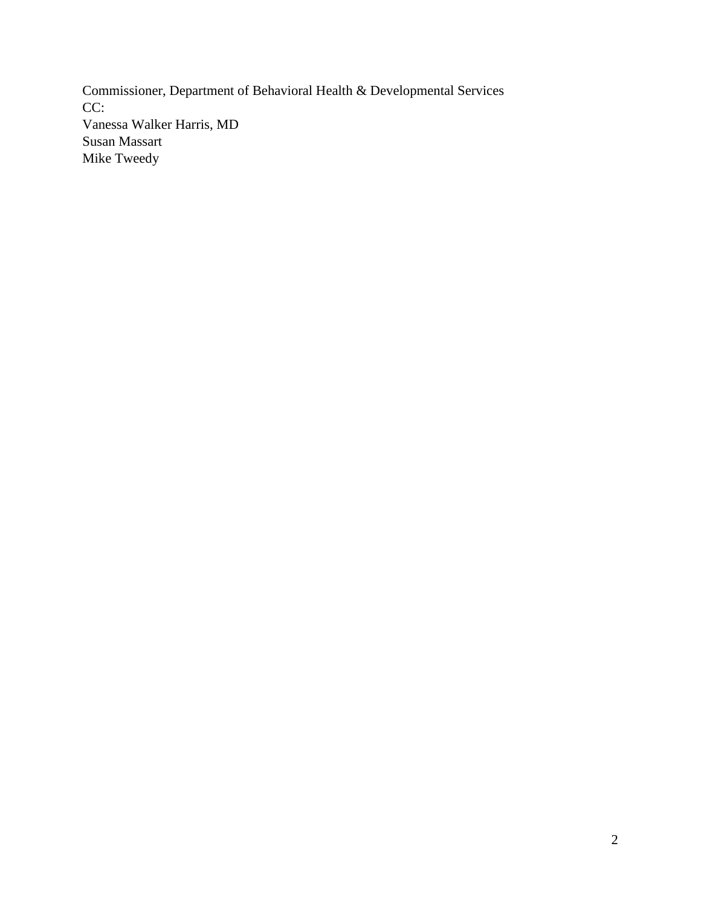Commissioner, Department of Behavioral Health & Developmental Services CC: Vanessa Walker Harris, MD Susan Massart Mike Tweedy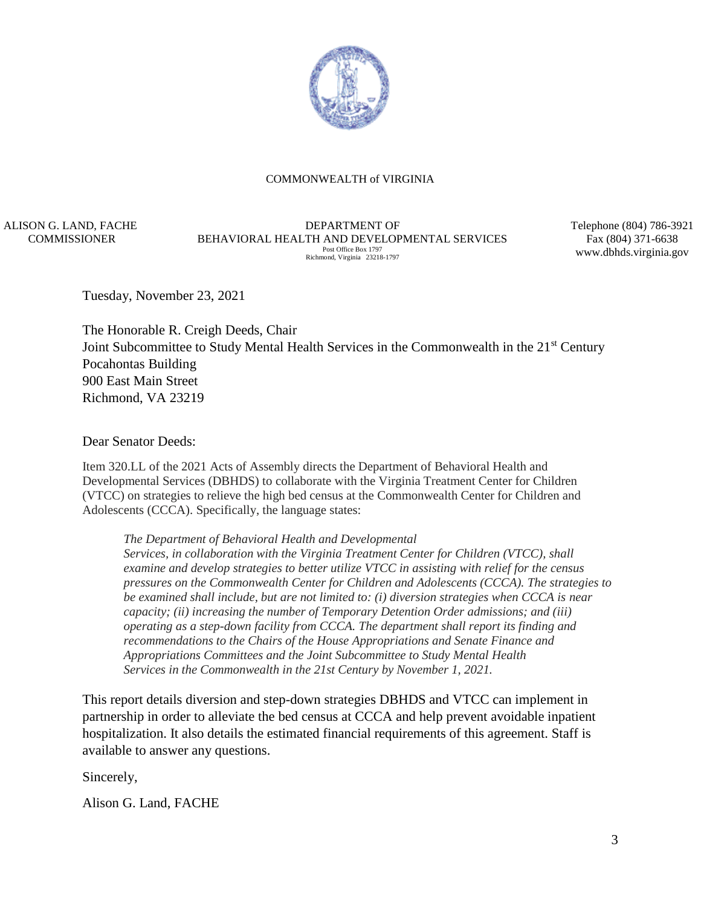

#### COMMONWEALTH of VIRGINIA

ALISON G. LAND, FACHE **COMMISSIONER** 

DEPARTMENT OF BEHAVIORAL HEALTH AND DEVELOPMENTAL SERVICES Post Office Box 1797 Richmond, Virginia 23218-1797

Telephone (804) 786-3921 Fax (804) 371-6638 www.dbhds.virginia.gov

Tuesday, November 23, 2021

The Honorable R. Creigh Deeds, Chair Joint Subcommittee to Study Mental Health Services in the Commonwealth in the 21<sup>st</sup> Century Pocahontas Building 900 East Main Street Richmond, VA 23219

Dear Senator Deeds:

Item 320.LL of the 2021 Acts of Assembly directs the Department of Behavioral Health and Developmental Services (DBHDS) to collaborate with the Virginia Treatment Center for Children (VTCC) on strategies to relieve the high bed census at the Commonwealth Center for Children and Adolescents (CCCA). Specifically, the language states:

*The Department of Behavioral Health and Developmental* 

*Services, in collaboration with the Virginia Treatment Center for Children (VTCC), shall examine and develop strategies to better utilize VTCC in assisting with relief for the census pressures on the Commonwealth Center for Children and Adolescents (CCCA). The strategies to be examined shall include, but are not limited to: (i) diversion strategies when CCCA is near capacity; (ii) increasing the number of Temporary Detention Order admissions; and (iii) operating as a step-down facility from CCCA. The department shall report its finding and recommendations to the Chairs of the House Appropriations and Senate Finance and Appropriations Committees and the Joint Subcommittee to Study Mental Health Services in the Commonwealth in the 21st Century by November 1, 2021.*

This report details diversion and step-down strategies DBHDS and VTCC can implement in partnership in order to alleviate the bed census at CCCA and help prevent avoidable inpatient hospitalization. It also details the estimated financial requirements of this agreement. Staff is available to answer any questions.

Sincerely,

Alison G. Land, FACHE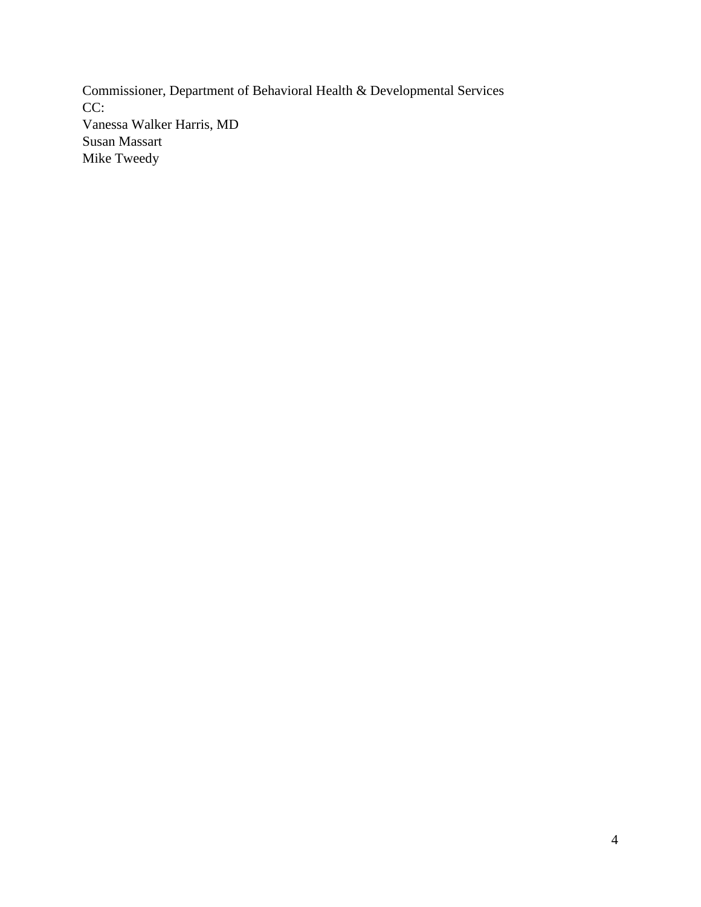Commissioner, Department of Behavioral Health & Developmental Services CC: Vanessa Walker Harris, MD Susan Massart Mike Tweedy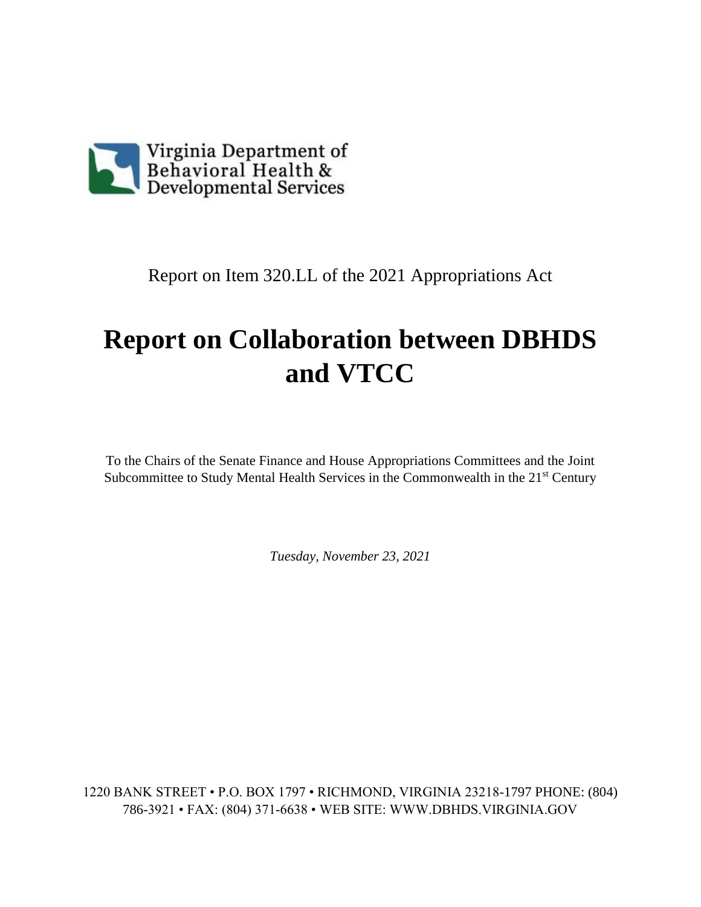

Report on Item 320.LL of the 2021 Appropriations Act

# **Report on Collaboration between DBHDS and VTCC**

To the Chairs of the Senate Finance and House Appropriations Committees and the Joint Subcommittee to Study Mental Health Services in the Commonwealth in the 21<sup>st</sup> Century

*Tuesday, November 23, 2021*

1220 BANK STREET • P.O. BOX 1797 • RICHMOND, VIRGINIA 23218-1797 PHONE: (804) 786-3921 • FAX: (804) 371-6638 • WEB SITE: WWW.DBHDS.VIRGINIA.GOV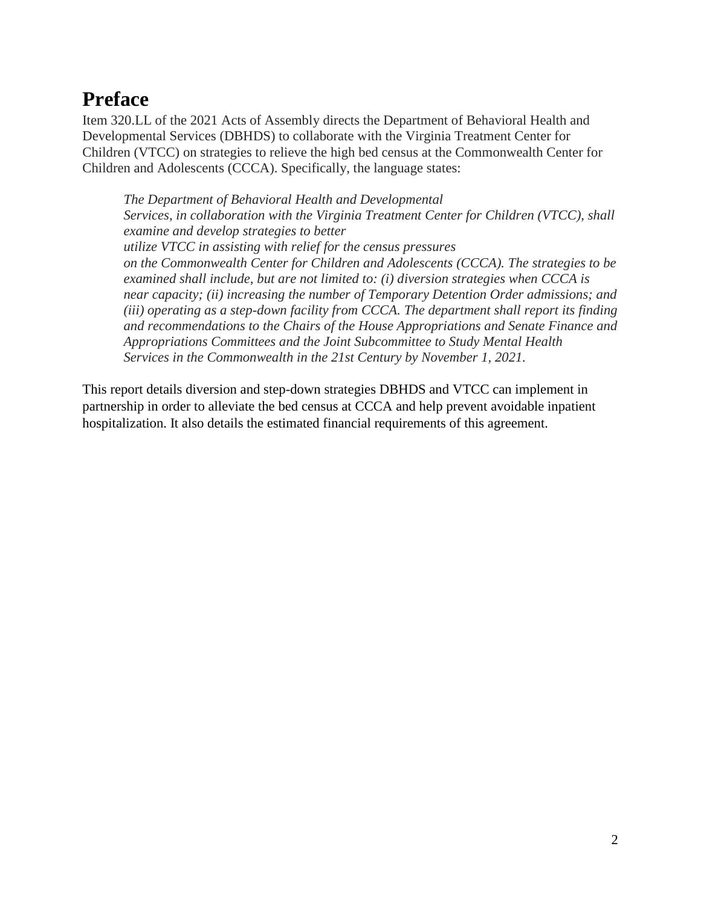## **Preface**

Item 320.LL of the 2021 Acts of Assembly directs the Department of Behavioral Health and Developmental Services (DBHDS) to collaborate with the Virginia Treatment Center for Children (VTCC) on strategies to relieve the high bed census at the Commonwealth Center for Children and Adolescents (CCCA). Specifically, the language states:

*The Department of Behavioral Health and Developmental Services, in collaboration with the Virginia Treatment Center for Children (VTCC), shall examine and develop strategies to better utilize VTCC in assisting with relief for the census pressures on the Commonwealth Center for Children and Adolescents (CCCA). The strategies to be examined shall include, but are not limited to: (i) diversion strategies when CCCA is near capacity; (ii) increasing the number of Temporary Detention Order admissions; and (iii) operating as a step-down facility from CCCA. The department shall report its finding and recommendations to the Chairs of the House Appropriations and Senate Finance and Appropriations Committees and the Joint Subcommittee to Study Mental Health Services in the Commonwealth in the 21st Century by November 1, 2021.*

This report details diversion and step-down strategies DBHDS and VTCC can implement in partnership in order to alleviate the bed census at CCCA and help prevent avoidable inpatient hospitalization. It also details the estimated financial requirements of this agreement.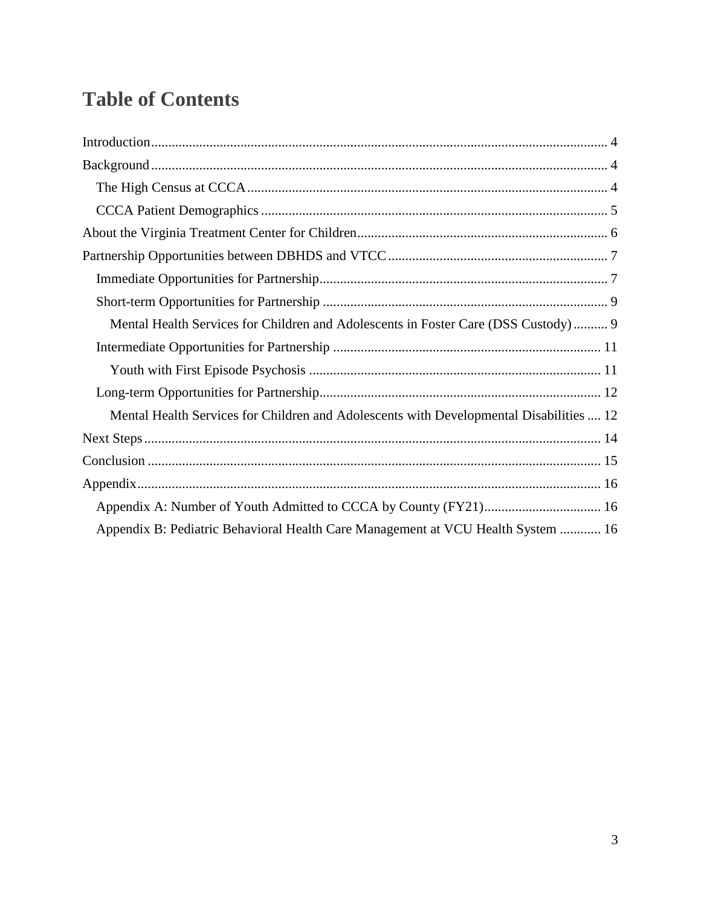## **Table of Contents**

| Mental Health Services for Children and Adolescents in Foster Care (DSS Custody) 9      |
|-----------------------------------------------------------------------------------------|
|                                                                                         |
|                                                                                         |
|                                                                                         |
| Mental Health Services for Children and Adolescents with Developmental Disabilities  12 |
|                                                                                         |
|                                                                                         |
|                                                                                         |
|                                                                                         |
| Appendix B: Pediatric Behavioral Health Care Management at VCU Health System  16        |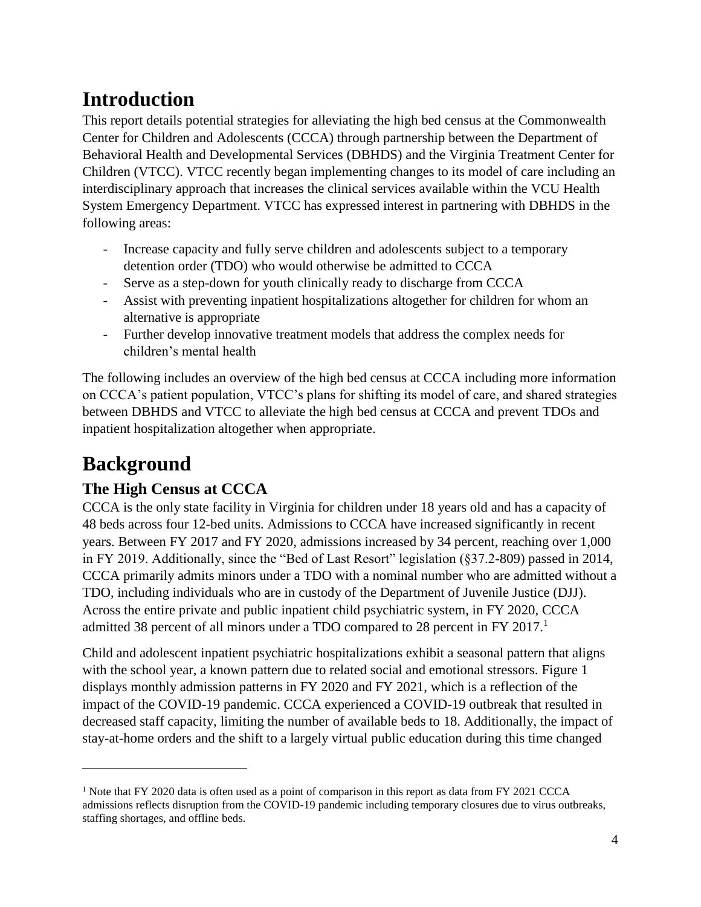## <span id="page-7-0"></span>**Introduction**

This report details potential strategies for alleviating the high bed census at the Commonwealth Center for Children and Adolescents (CCCA) through partnership between the Department of Behavioral Health and Developmental Services (DBHDS) and the Virginia Treatment Center for Children (VTCC). VTCC recently began implementing changes to its model of care including an interdisciplinary approach that increases the clinical services available within the VCU Health System Emergency Department. VTCC has expressed interest in partnering with DBHDS in the following areas:

- Increase capacity and fully serve children and adolescents subject to a temporary detention order (TDO) who would otherwise be admitted to CCCA
- Serve as a step-down for youth clinically ready to discharge from CCCA
- Assist with preventing inpatient hospitalizations altogether for children for whom an alternative is appropriate
- Further develop innovative treatment models that address the complex needs for children's mental health

The following includes an overview of the high bed census at CCCA including more information on CCCA's patient population, VTCC's plans for shifting its model of care, and shared strategies between DBHDS and VTCC to alleviate the high bed census at CCCA and prevent TDOs and inpatient hospitalization altogether when appropriate.

## <span id="page-7-1"></span>**Background**

 $\overline{a}$ 

## <span id="page-7-2"></span>**The High Census at CCCA**

CCCA is the only state facility in Virginia for children under 18 years old and has a capacity of 48 beds across four 12-bed units. Admissions to CCCA have increased significantly in recent years. Between FY 2017 and FY 2020, admissions increased by 34 percent, reaching over 1,000 in FY 2019. Additionally, since the "Bed of Last Resort" legislation (§37.2-809) passed in 2014, CCCA primarily admits minors under a TDO with a nominal number who are admitted without a TDO, including individuals who are in custody of the Department of Juvenile Justice (DJJ). Across the entire private and public inpatient child psychiatric system, in FY 2020, CCCA admitted 38 percent of all minors under a TDO compared to 28 percent in FY 2017.<sup>1</sup>

Child and adolescent inpatient psychiatric hospitalizations exhibit a seasonal pattern that aligns with the school year, a known pattern due to related social and emotional stressors. Figure 1 displays monthly admission patterns in FY 2020 and FY 2021, which is a reflection of the impact of the COVID-19 pandemic. CCCA experienced a COVID-19 outbreak that resulted in decreased staff capacity, limiting the number of available beds to 18. Additionally, the impact of stay-at-home orders and the shift to a largely virtual public education during this time changed

<sup>&</sup>lt;sup>1</sup> Note that FY 2020 data is often used as a point of comparison in this report as data from FY 2021 CCCA admissions reflects disruption from the COVID-19 pandemic including temporary closures due to virus outbreaks, staffing shortages, and offline beds.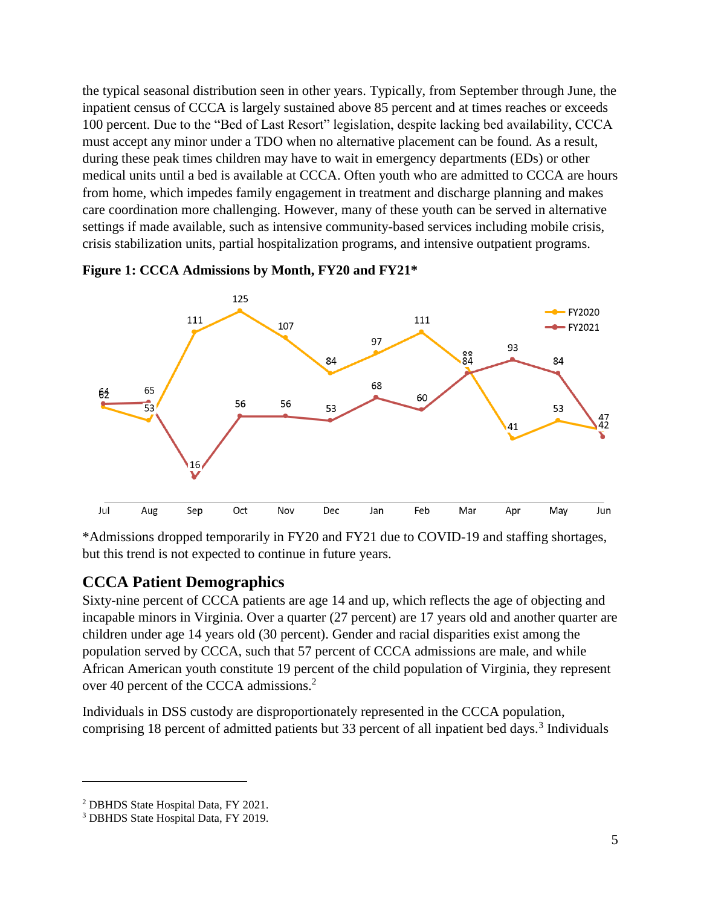the typical seasonal distribution seen in other years. Typically, from September through June, the inpatient census of CCCA is largely sustained above 85 percent and at times reaches or exceeds 100 percent. Due to the "Bed of Last Resort" legislation, despite lacking bed availability, CCCA must accept any minor under a TDO when no alternative placement can be found. As a result, during these peak times children may have to wait in emergency departments (EDs) or other medical units until a bed is available at CCCA. Often youth who are admitted to CCCA are hours from home, which impedes family engagement in treatment and discharge planning and makes care coordination more challenging. However, many of these youth can be served in alternative settings if made available, such as intensive community-based services including mobile crisis, crisis stabilization units, partial hospitalization programs, and intensive outpatient programs.





\*Admissions dropped temporarily in FY20 and FY21 due to COVID-19 and staffing shortages, but this trend is not expected to continue in future years.

### <span id="page-8-0"></span>**CCCA Patient Demographics**

Sixty-nine percent of CCCA patients are age 14 and up, which reflects the age of objecting and incapable minors in Virginia. Over a quarter (27 percent) are 17 years old and another quarter are children under age 14 years old (30 percent). Gender and racial disparities exist among the population served by CCCA, such that 57 percent of CCCA admissions are male, and while African American youth constitute 19 percent of the child population of Virginia, they represent over 40 percent of the CCCA admissions.<sup>2</sup>

Individuals in DSS custody are disproportionately represented in the CCCA population, comprising 18 percent of admitted patients but 33 percent of all inpatient bed days.<sup>3</sup> Individuals

 $\overline{a}$ 

<sup>2</sup> DBHDS State Hospital Data, FY 2021.

<sup>3</sup> DBHDS State Hospital Data, FY 2019.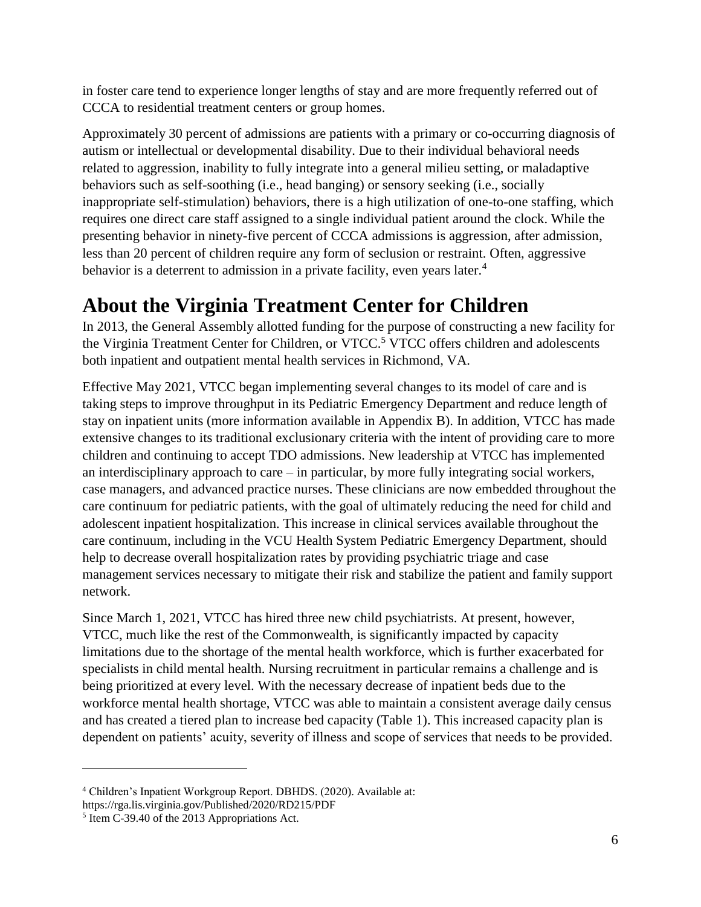in foster care tend to experience longer lengths of stay and are more frequently referred out of CCCA to residential treatment centers or group homes.

Approximately 30 percent of admissions are patients with a primary or co-occurring diagnosis of autism or intellectual or developmental disability. Due to their individual behavioral needs related to aggression, inability to fully integrate into a general milieu setting, or maladaptive behaviors such as self-soothing (i.e., head banging) or sensory seeking (i.e., socially inappropriate self-stimulation) behaviors, there is a high utilization of one-to-one staffing, which requires one direct care staff assigned to a single individual patient around the clock. While the presenting behavior in ninety-five percent of CCCA admissions is aggression, after admission, less than 20 percent of children require any form of seclusion or restraint. Often, aggressive behavior is a deterrent to admission in a private facility, even years later.<sup>4</sup>

## <span id="page-9-0"></span>**About the Virginia Treatment Center for Children**

In 2013, the General Assembly allotted funding for the purpose of constructing a new facility for the Virginia Treatment Center for Children, or VTCC.<sup>5</sup> VTCC offers children and adolescents both inpatient and outpatient mental health services in Richmond, VA.

Effective May 2021, VTCC began implementing several changes to its model of care and is taking steps to improve throughput in its Pediatric Emergency Department and reduce length of stay on inpatient units (more information available in [Appendix B\)](#page-19-2). In addition, VTCC has made extensive changes to its traditional exclusionary criteria with the intent of providing care to more children and continuing to accept TDO admissions. New leadership at VTCC has implemented an interdisciplinary approach to care – in particular, by more fully integrating social workers, case managers, and advanced practice nurses. These clinicians are now embedded throughout the care continuum for pediatric patients, with the goal of ultimately reducing the need for child and adolescent inpatient hospitalization. This increase in clinical services available throughout the care continuum, including in the VCU Health System Pediatric Emergency Department, should help to decrease overall hospitalization rates by providing psychiatric triage and case management services necessary to mitigate their risk and stabilize the patient and family support network.

Since March 1, 2021, VTCC has hired three new child psychiatrists. At present, however, VTCC, much like the rest of the Commonwealth, is significantly impacted by capacity limitations due to the shortage of the mental health workforce, which is further exacerbated for specialists in child mental health. Nursing recruitment in particular remains a challenge and is being prioritized at every level. With the necessary decrease of inpatient beds due to the workforce mental health shortage, VTCC was able to maintain a consistent average daily census and has created a tiered plan to increase bed capacity (Table 1). This increased capacity plan is dependent on patients' acuity, severity of illness and scope of services that needs to be provided.

 $\overline{a}$ 

<sup>4</sup> Children's Inpatient Workgroup Report. DBHDS. (2020). Available at: https://rga.lis.virginia.gov/Published/2020/RD215/PDF

<sup>&</sup>lt;sup>5</sup> Item C-39.40 of the 2013 Appropriations Act.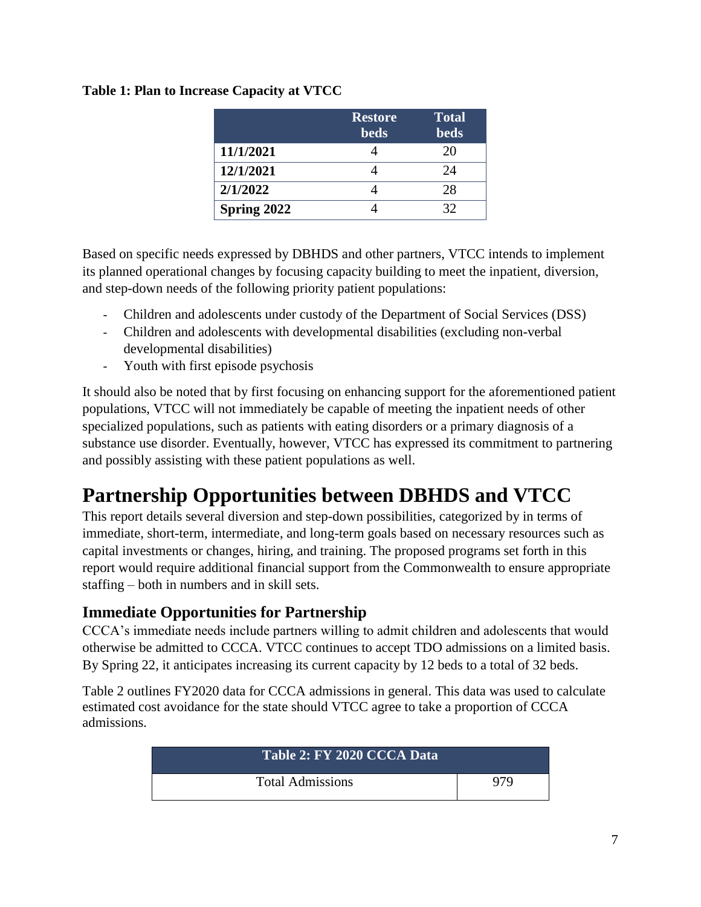| Table 1: Plan to Increase Capacity at VTCC |
|--------------------------------------------|
|                                            |

|             | <b>Restore</b> | <b>Total</b> |
|-------------|----------------|--------------|
|             | <b>beds</b>    | <b>beds</b>  |
| 11/1/2021   |                | 20           |
| 12/1/2021   |                | 24           |
| 2/1/2022    |                | 28           |
| Spring 2022 |                | 32           |

Based on specific needs expressed by DBHDS and other partners, VTCC intends to implement its planned operational changes by focusing capacity building to meet the inpatient, diversion, and step-down needs of the following priority patient populations:

- Children and adolescents under custody of the Department of Social Services (DSS)
- Children and adolescents with developmental disabilities (excluding non-verbal developmental disabilities)
- Youth with first episode psychosis

It should also be noted that by first focusing on enhancing support for the aforementioned patient populations, VTCC will not immediately be capable of meeting the inpatient needs of other specialized populations, such as patients with eating disorders or a primary diagnosis of a substance use disorder. Eventually, however, VTCC has expressed its commitment to partnering and possibly assisting with these patient populations as well.

## <span id="page-10-0"></span>**Partnership Opportunities between DBHDS and VTCC**

This report details several diversion and step-down possibilities, categorized by in terms of immediate, short-term, intermediate, and long-term goals based on necessary resources such as capital investments or changes, hiring, and training. The proposed programs set forth in this report would require additional financial support from the Commonwealth to ensure appropriate staffing – both in numbers and in skill sets.

## <span id="page-10-1"></span>**Immediate Opportunities for Partnership**

CCCA's immediate needs include partners willing to admit children and adolescents that would otherwise be admitted to CCCA. VTCC continues to accept TDO admissions on a limited basis. By Spring 22, it anticipates increasing its current capacity by 12 beds to a total of 32 beds.

Table 2 outlines FY2020 data for CCCA admissions in general. This data was used to calculate estimated cost avoidance for the state should VTCC agree to take a proportion of CCCA admissions.

| Table 2: FY 2020 CCCA Data |     |  |
|----------------------------|-----|--|
| <b>Total Admissions</b>    | 979 |  |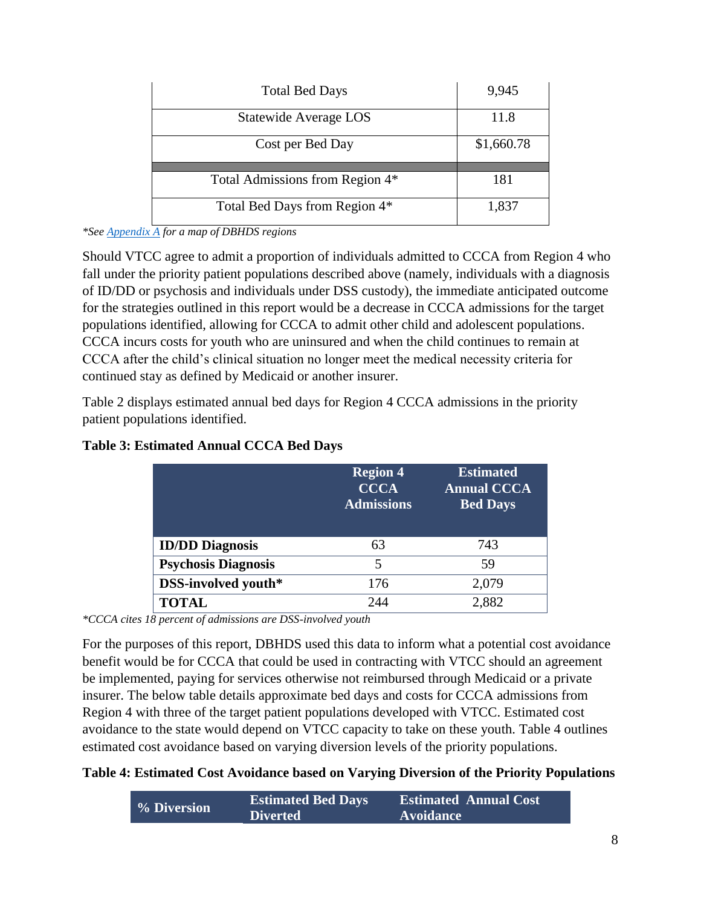| <b>Total Bed Days</b>           | 9,945      |
|---------------------------------|------------|
| Statewide Average LOS           | 11.8       |
| Cost per Bed Day                | \$1,660.78 |
| Total Admissions from Region 4* | 181        |
| Total Bed Days from Region 4*   | 1,837      |

*<sup>\*</sup>See [Appendix A](#page-19-1) for a map of DBHDS regions*

Should VTCC agree to admit a proportion of individuals admitted to CCCA from Region 4 who fall under the priority patient populations described above (namely, individuals with a diagnosis of ID/DD or psychosis and individuals under DSS custody), the immediate anticipated outcome for the strategies outlined in this report would be a decrease in CCCA admissions for the target populations identified, allowing for CCCA to admit other child and adolescent populations. CCCA incurs costs for youth who are uninsured and when the child continues to remain at CCCA after the child's clinical situation no longer meet the medical necessity criteria for continued stay as defined by Medicaid or another insurer.

Table 2 displays estimated annual bed days for Region 4 CCCA admissions in the priority patient populations identified.

|                            | <b>Region 4</b><br><b>CCCA</b><br><b>Admissions</b> | <b>Estimated</b><br><b>Annual CCCA</b><br><b>Bed Days</b> |
|----------------------------|-----------------------------------------------------|-----------------------------------------------------------|
| <b>ID/DD Diagnosis</b>     | 63                                                  | 743                                                       |
| <b>Psychosis Diagnosis</b> | $\overline{5}$                                      | 59                                                        |
| DSS-involved youth*        | 176                                                 | 2,079                                                     |
| <b>TOTAL</b>               | 244                                                 | 2.882                                                     |

**Table 3: Estimated Annual CCCA Bed Days**

*\*CCCA cites 18 percent of admissions are DSS-involved youth*

For the purposes of this report, DBHDS used this data to inform what a potential cost avoidance benefit would be for CCCA that could be used in contracting with VTCC should an agreement be implemented, paying for services otherwise not reimbursed through Medicaid or a private insurer. The below table details approximate bed days and costs for CCCA admissions from Region 4 with three of the target patient populations developed with VTCC. Estimated cost avoidance to the state would depend on VTCC capacity to take on these youth. Table 4 outlines estimated cost avoidance based on varying diversion levels of the priority populations.

**Table 4: Estimated Cost Avoidance based on Varying Diversion of the Priority Populations**

|             | <b>Estimated Bed Days</b> | <b>Estimated Annual Cost</b> |
|-------------|---------------------------|------------------------------|
| % Diversion | <b>Diverted</b>           | <b>Avoidance</b>             |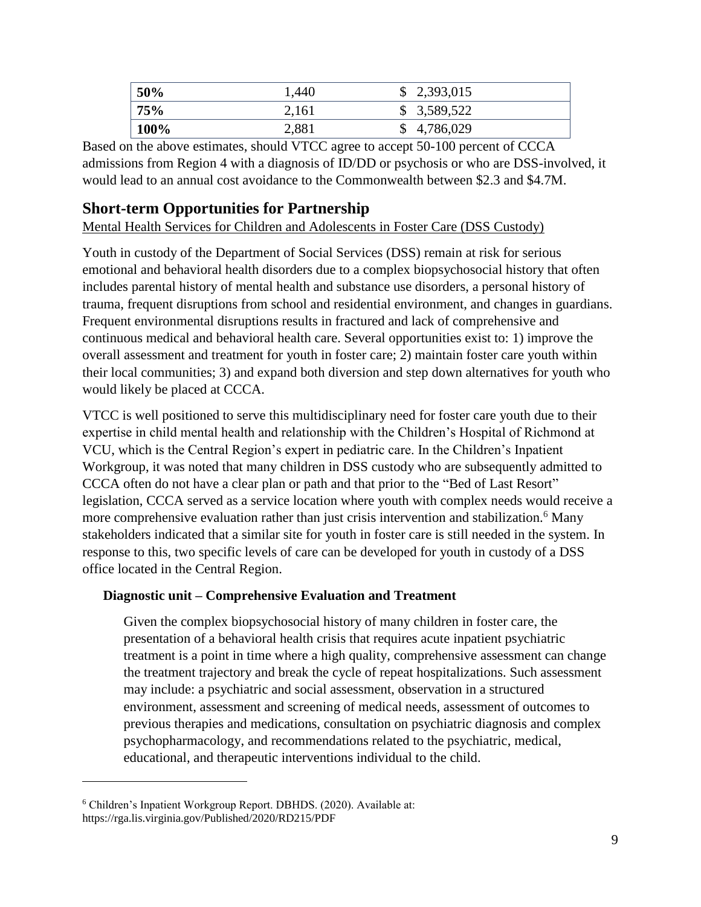| 50%  | 1,440 | \$2,393,015 |
|------|-------|-------------|
| 75%  | 2,161 | \$3,589,522 |
| 100% | 2,881 | \$4,786,029 |

Based on the above estimates, should VTCC agree to accept 50-100 percent of CCCA admissions from Region 4 with a diagnosis of ID/DD or psychosis or who are DSS-involved, it would lead to an annual cost avoidance to the Commonwealth between \$2.3 and \$4.7M.

## <span id="page-12-0"></span>**Short-term Opportunities for Partnership**

<span id="page-12-1"></span>Mental Health Services for Children and Adolescents in Foster Care (DSS Custody)

Youth in custody of the Department of Social Services (DSS) remain at risk for serious emotional and behavioral health disorders due to a complex biopsychosocial history that often includes parental history of mental health and substance use disorders, a personal history of trauma, frequent disruptions from school and residential environment, and changes in guardians. Frequent environmental disruptions results in fractured and lack of comprehensive and continuous medical and behavioral health care. Several opportunities exist to: 1) improve the overall assessment and treatment for youth in foster care; 2) maintain foster care youth within their local communities; 3) and expand both diversion and step down alternatives for youth who would likely be placed at CCCA.

VTCC is well positioned to serve this multidisciplinary need for foster care youth due to their expertise in child mental health and relationship with the Children's Hospital of Richmond at VCU, which is the Central Region's expert in pediatric care. In the Children's Inpatient Workgroup, it was noted that many children in DSS custody who are subsequently admitted to CCCA often do not have a clear plan or path and that prior to the "Bed of Last Resort" legislation, CCCA served as a service location where youth with complex needs would receive a more comprehensive evaluation rather than just crisis intervention and stabilization.<sup>6</sup> Many stakeholders indicated that a similar site for youth in foster care is still needed in the system. In response to this, two specific levels of care can be developed for youth in custody of a DSS office located in the Central Region.

### **Diagnostic unit – Comprehensive Evaluation and Treatment**

Given the complex biopsychosocial history of many children in foster care, the presentation of a behavioral health crisis that requires acute inpatient psychiatric treatment is a point in time where a high quality, comprehensive assessment can change the treatment trajectory and break the cycle of repeat hospitalizations. Such assessment may include: a psychiatric and social assessment, observation in a structured environment, assessment and screening of medical needs, assessment of outcomes to previous therapies and medications, consultation on psychiatric diagnosis and complex psychopharmacology, and recommendations related to the psychiatric, medical, educational, and therapeutic interventions individual to the child.

 $\overline{a}$ 

<sup>6</sup> Children's Inpatient Workgroup Report. DBHDS. (2020). Available at: https://rga.lis.virginia.gov/Published/2020/RD215/PDF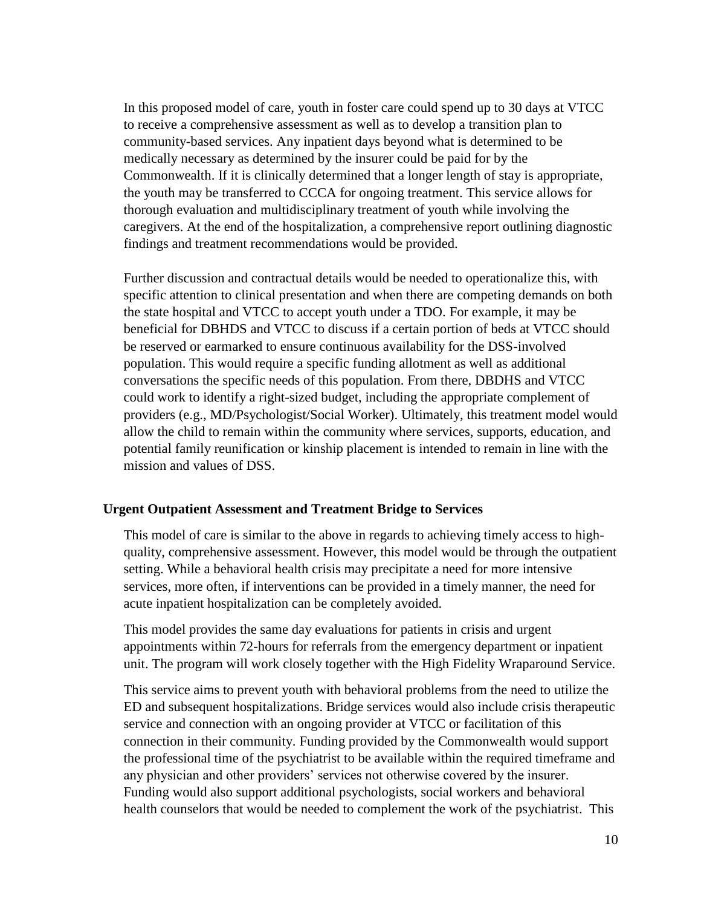In this proposed model of care, youth in foster care could spend up to 30 days at VTCC to receive a comprehensive assessment as well as to develop a transition plan to community-based services. Any inpatient days beyond what is determined to be medically necessary as determined by the insurer could be paid for by the Commonwealth. If it is clinically determined that a longer length of stay is appropriate, the youth may be transferred to CCCA for ongoing treatment. This service allows for thorough evaluation and multidisciplinary treatment of youth while involving the caregivers. At the end of the hospitalization, a comprehensive report outlining diagnostic findings and treatment recommendations would be provided.

Further discussion and contractual details would be needed to operationalize this, with specific attention to clinical presentation and when there are competing demands on both the state hospital and VTCC to accept youth under a TDO. For example, it may be beneficial for DBHDS and VTCC to discuss if a certain portion of beds at VTCC should be reserved or earmarked to ensure continuous availability for the DSS-involved population. This would require a specific funding allotment as well as additional conversations the specific needs of this population. From there, DBDHS and VTCC could work to identify a right-sized budget, including the appropriate complement of providers (e.g., MD/Psychologist/Social Worker). Ultimately, this treatment model would allow the child to remain within the community where services, supports, education, and potential family reunification or kinship placement is intended to remain in line with the mission and values of DSS.

#### **Urgent Outpatient Assessment and Treatment Bridge to Services**

This model of care is similar to the above in regards to achieving timely access to highquality, comprehensive assessment. However, this model would be through the outpatient setting. While a behavioral health crisis may precipitate a need for more intensive services, more often, if interventions can be provided in a timely manner, the need for acute inpatient hospitalization can be completely avoided.

This model provides the same day evaluations for patients in crisis and urgent appointments within 72-hours for referrals from the emergency department or inpatient unit. The program will work closely together with the High Fidelity Wraparound Service.

This service aims to prevent youth with behavioral problems from the need to utilize the ED and subsequent hospitalizations. Bridge services would also include crisis therapeutic service and connection with an ongoing provider at VTCC or facilitation of this connection in their community. Funding provided by the Commonwealth would support the professional time of the psychiatrist to be available within the required timeframe and any physician and other providers' services not otherwise covered by the insurer. Funding would also support additional psychologists, social workers and behavioral health counselors that would be needed to complement the work of the psychiatrist. This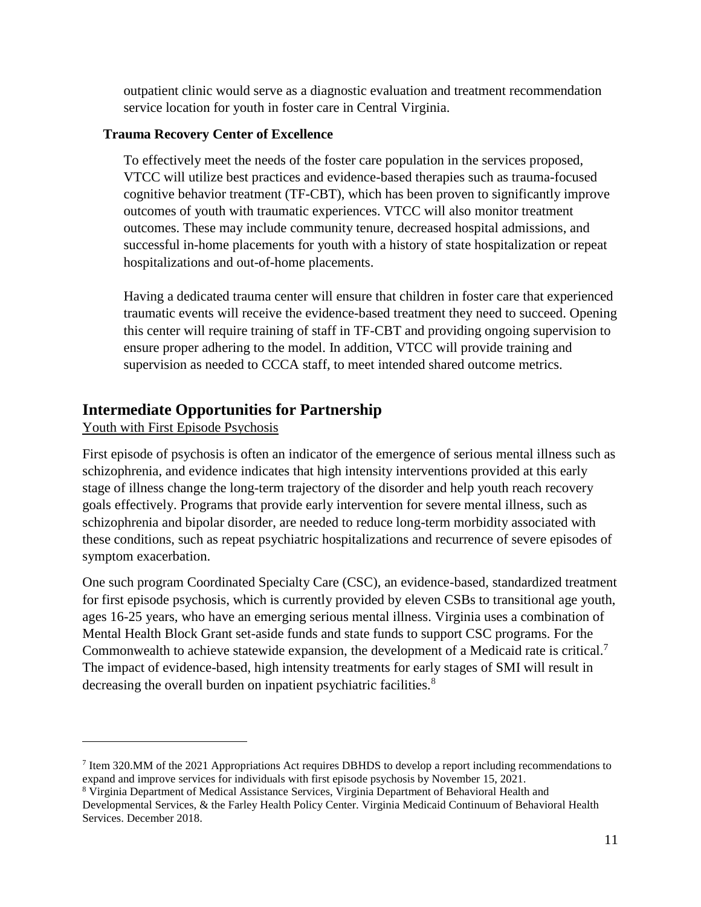outpatient clinic would serve as a diagnostic evaluation and treatment recommendation service location for youth in foster care in Central Virginia.

### **Trauma Recovery Center of Excellence**

To effectively meet the needs of the foster care population in the services proposed, VTCC will utilize best practices and evidence-based therapies such as trauma-focused cognitive behavior treatment (TF-CBT), which has been proven to significantly improve outcomes of youth with traumatic experiences. VTCC will also monitor treatment outcomes. These may include community tenure, decreased hospital admissions, and successful in-home placements for youth with a history of state hospitalization or repeat hospitalizations and out-of-home placements.

Having a dedicated trauma center will ensure that children in foster care that experienced traumatic events will receive the evidence-based treatment they need to succeed. Opening this center will require training of staff in TF-CBT and providing ongoing supervision to ensure proper adhering to the model. In addition, VTCC will provide training and supervision as needed to CCCA staff, to meet intended shared outcome metrics.

### <span id="page-14-0"></span>**Intermediate Opportunities for Partnership**

### <span id="page-14-1"></span>Youth with First Episode Psychosis

 $\overline{a}$ 

First episode of psychosis is often an indicator of the emergence of serious mental illness such as schizophrenia, and evidence indicates that high intensity interventions provided at this early stage of illness change the long-term trajectory of the disorder and help youth reach recovery goals effectively. Programs that provide early intervention for severe mental illness, such as schizophrenia and bipolar disorder, are needed to reduce long-term morbidity associated with these conditions, such as repeat psychiatric hospitalizations and recurrence of severe episodes of symptom exacerbation.

One such program Coordinated Specialty Care (CSC), an evidence-based, standardized treatment for first episode psychosis, which is currently provided by eleven CSBs to transitional age youth, ages 16-25 years, who have an emerging serious mental illness. Virginia uses a combination of Mental Health Block Grant set-aside funds and state funds to support CSC programs. For the Commonwealth to achieve statewide expansion, the development of a Medicaid rate is critical.<sup>7</sup> The impact of evidence-based, high intensity treatments for early stages of SMI will result in decreasing the overall burden on inpatient psychiatric facilities.<sup>8</sup>

<sup>7</sup> Item 320.MM of the 2021 Appropriations Act requires DBHDS to develop a report including recommendations to expand and improve services for individuals with first episode psychosis by November 15, 2021.

<sup>8</sup> Virginia Department of Medical Assistance Services, Virginia Department of Behavioral Health and Developmental Services, & the Farley Health Policy Center. Virginia Medicaid Continuum of Behavioral Health Services. December 2018.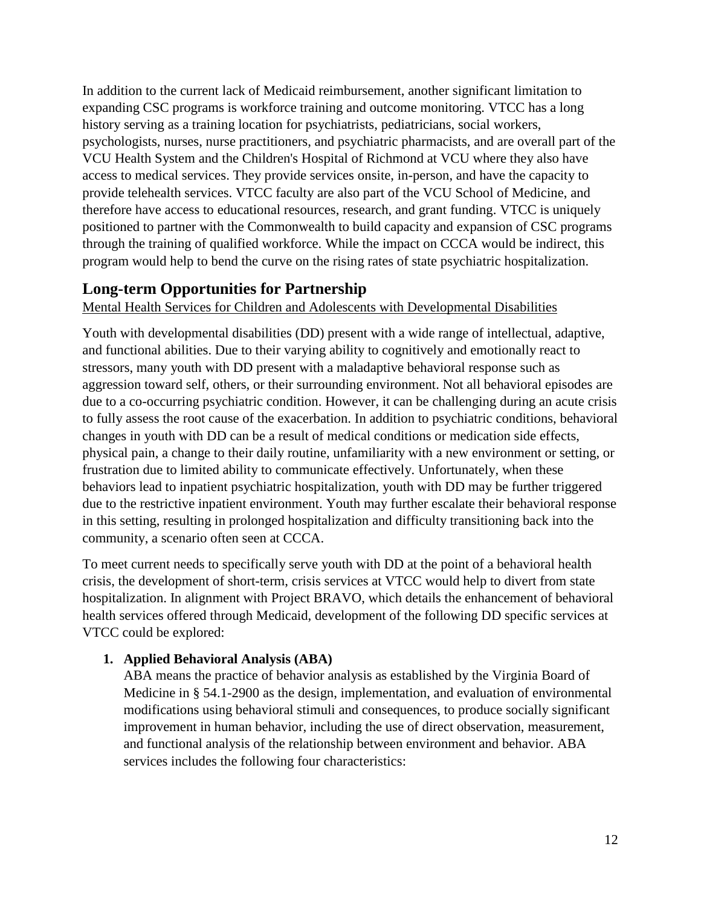In addition to the current lack of Medicaid reimbursement, another significant limitation to expanding CSC programs is workforce training and outcome monitoring. VTCC has a long history serving as a training location for psychiatrists, pediatricians, social workers, psychologists, nurses, nurse practitioners, and psychiatric pharmacists, and are overall part of the VCU Health System and the Children's Hospital of Richmond at VCU where they also have access to medical services. They provide services onsite, in-person, and have the capacity to provide telehealth services. VTCC faculty are also part of the VCU School of Medicine, and therefore have access to educational resources, research, and grant funding. VTCC is uniquely positioned to partner with the Commonwealth to build capacity and expansion of CSC programs through the training of qualified workforce. While the impact on CCCA would be indirect, this program would help to bend the curve on the rising rates of state psychiatric hospitalization.

## <span id="page-15-0"></span>**Long-term Opportunities for Partnership**

<span id="page-15-1"></span>Mental Health Services for Children and Adolescents with Developmental Disabilities

Youth with developmental disabilities (DD) present with a wide range of intellectual, adaptive, and functional abilities. Due to their varying ability to cognitively and emotionally react to stressors, many youth with DD present with a maladaptive behavioral response such as aggression toward self, others, or their surrounding environment. Not all behavioral episodes are due to a co-occurring psychiatric condition. However, it can be challenging during an acute crisis to fully assess the root cause of the exacerbation. In addition to psychiatric conditions, behavioral changes in youth with DD can be a result of medical conditions or medication side effects, physical pain, a change to their daily routine, unfamiliarity with a new environment or setting, or frustration due to limited ability to communicate effectively. Unfortunately, when these behaviors lead to inpatient psychiatric hospitalization, youth with DD may be further triggered due to the restrictive inpatient environment. Youth may further escalate their behavioral response in this setting, resulting in prolonged hospitalization and difficulty transitioning back into the community, a scenario often seen at CCCA.

To meet current needs to specifically serve youth with DD at the point of a behavioral health crisis, the development of short-term, crisis services at VTCC would help to divert from state hospitalization. In alignment with Project BRAVO, which details the enhancement of behavioral health services offered through Medicaid, development of the following DD specific services at VTCC could be explored:

### **1. Applied Behavioral Analysis (ABA)**

ABA means the practice of behavior analysis as established by the Virginia Board of Medicine in § 54.1-2900 as the design, implementation, and evaluation of environmental modifications using behavioral stimuli and consequences, to produce socially significant improvement in human behavior, including the use of direct observation, measurement, and functional analysis of the relationship between environment and behavior. ABA services includes the following four characteristics: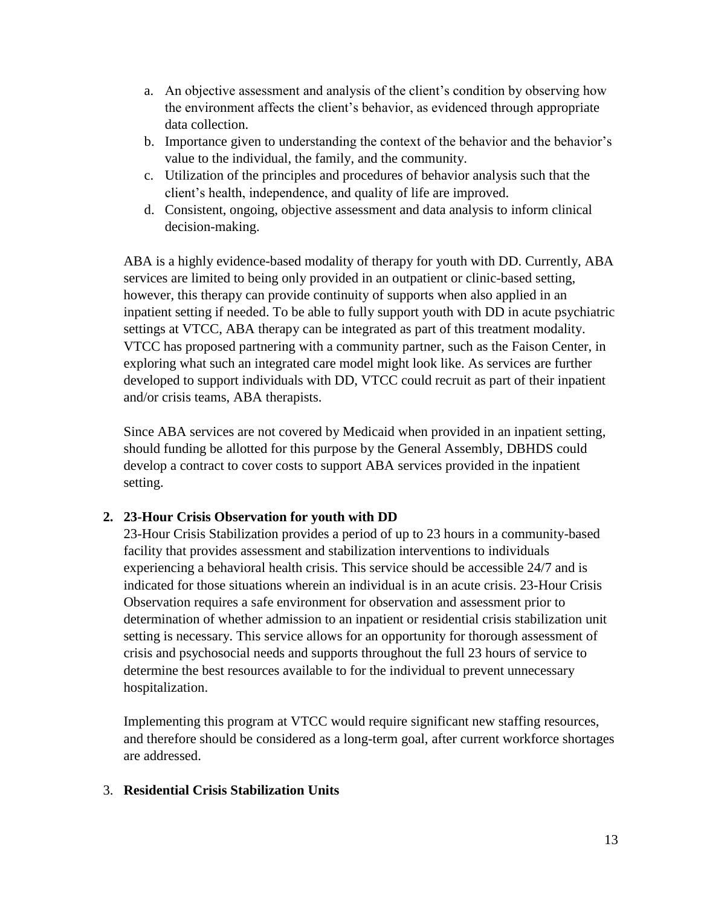- a. An objective assessment and analysis of the client's condition by observing how the environment affects the client's behavior, as evidenced through appropriate data collection.
- b. Importance given to understanding the context of the behavior and the behavior's value to the individual, the family, and the community.
- c. Utilization of the principles and procedures of behavior analysis such that the client's health, independence, and quality of life are improved.
- d. Consistent, ongoing, objective assessment and data analysis to inform clinical decision-making.

ABA is a highly evidence-based modality of therapy for youth with DD. Currently, ABA services are limited to being only provided in an outpatient or clinic-based setting, however, this therapy can provide continuity of supports when also applied in an inpatient setting if needed. To be able to fully support youth with DD in acute psychiatric settings at VTCC, ABA therapy can be integrated as part of this treatment modality. VTCC has proposed partnering with a community partner, such as the Faison Center, in exploring what such an integrated care model might look like. As services are further developed to support individuals with DD, VTCC could recruit as part of their inpatient and/or crisis teams, ABA therapists.

Since ABA services are not covered by Medicaid when provided in an inpatient setting, should funding be allotted for this purpose by the General Assembly, DBHDS could develop a contract to cover costs to support ABA services provided in the inpatient setting.

### **2. 23-Hour Crisis Observation for youth with DD**

23-Hour Crisis Stabilization provides a period of up to 23 hours in a community-based facility that provides assessment and stabilization interventions to individuals experiencing a behavioral health crisis. This service should be accessible 24/7 and is indicated for those situations wherein an individual is in an acute crisis. 23-Hour Crisis Observation requires a safe environment for observation and assessment prior to determination of whether admission to an inpatient or residential crisis stabilization unit setting is necessary. This service allows for an opportunity for thorough assessment of crisis and psychosocial needs and supports throughout the full 23 hours of service to determine the best resources available to for the individual to prevent unnecessary hospitalization.

Implementing this program at VTCC would require significant new staffing resources, and therefore should be considered as a long-term goal, after current workforce shortages are addressed.

### 3. **Residential Crisis Stabilization Units**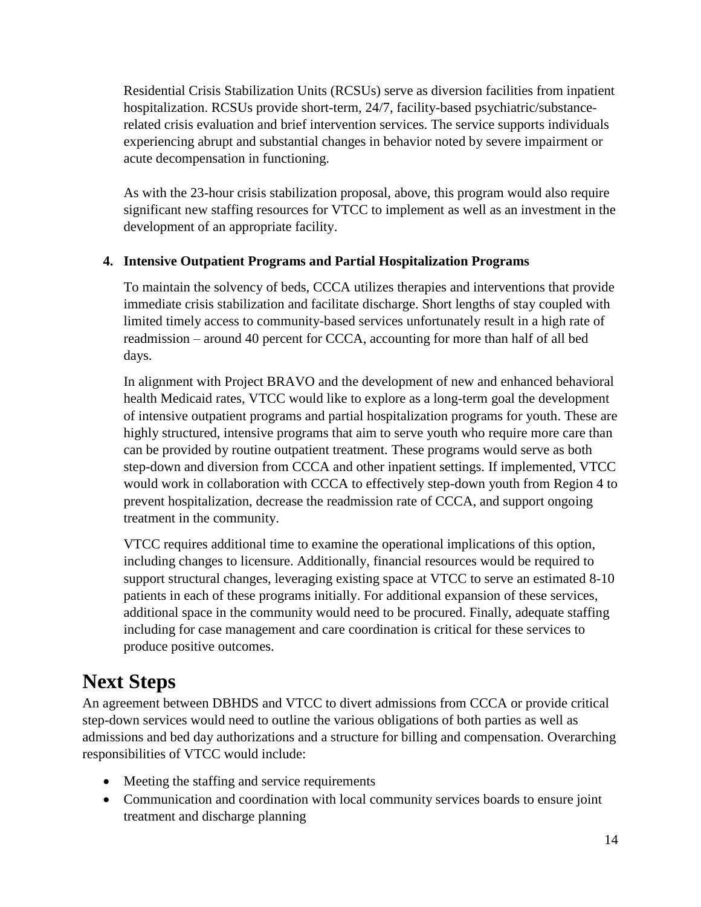Residential Crisis Stabilization Units (RCSUs) serve as diversion facilities from inpatient hospitalization. RCSUs provide short-term, 24/7, facility-based psychiatric/substancerelated crisis evaluation and brief intervention services. The service supports individuals experiencing abrupt and substantial changes in behavior noted by severe impairment or acute decompensation in functioning.

As with the 23-hour crisis stabilization proposal, above, this program would also require significant new staffing resources for VTCC to implement as well as an investment in the development of an appropriate facility.

### **4. Intensive Outpatient Programs and Partial Hospitalization Programs**

To maintain the solvency of beds, CCCA utilizes therapies and interventions that provide immediate crisis stabilization and facilitate discharge. Short lengths of stay coupled with limited timely access to community-based services unfortunately result in a high rate of readmission – around 40 percent for CCCA, accounting for more than half of all bed days.

In alignment with Project BRAVO and the development of new and enhanced behavioral health Medicaid rates, VTCC would like to explore as a long-term goal the development of intensive outpatient programs and partial hospitalization programs for youth. These are highly structured, intensive programs that aim to serve youth who require more care than can be provided by routine outpatient treatment. These programs would serve as both step-down and diversion from CCCA and other inpatient settings. If implemented, VTCC would work in collaboration with CCCA to effectively step-down youth from Region 4 to prevent hospitalization, decrease the readmission rate of CCCA, and support ongoing treatment in the community.

VTCC requires additional time to examine the operational implications of this option, including changes to licensure. Additionally, financial resources would be required to support structural changes, leveraging existing space at VTCC to serve an estimated 8-10 patients in each of these programs initially. For additional expansion of these services, additional space in the community would need to be procured. Finally, adequate staffing including for case management and care coordination is critical for these services to produce positive outcomes.

## <span id="page-17-0"></span>**Next Steps**

An agreement between DBHDS and VTCC to divert admissions from CCCA or provide critical step-down services would need to outline the various obligations of both parties as well as admissions and bed day authorizations and a structure for billing and compensation. Overarching responsibilities of VTCC would include:

- Meeting the staffing and service requirements
- Communication and coordination with local community services boards to ensure joint treatment and discharge planning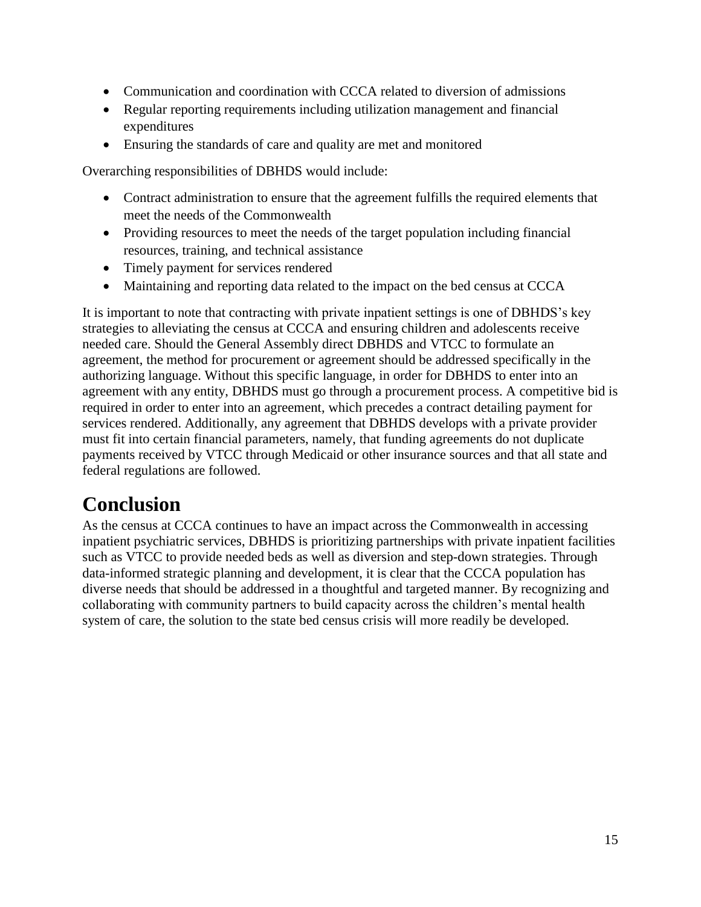- Communication and coordination with CCCA related to diversion of admissions
- Regular reporting requirements including utilization management and financial expenditures
- Ensuring the standards of care and quality are met and monitored

Overarching responsibilities of DBHDS would include:

- Contract administration to ensure that the agreement fulfills the required elements that meet the needs of the Commonwealth
- Providing resources to meet the needs of the target population including financial resources, training, and technical assistance
- Timely payment for services rendered
- Maintaining and reporting data related to the impact on the bed census at CCCA

It is important to note that contracting with private inpatient settings is one of DBHDS's key strategies to alleviating the census at CCCA and ensuring children and adolescents receive needed care. Should the General Assembly direct DBHDS and VTCC to formulate an agreement, the method for procurement or agreement should be addressed specifically in the authorizing language. Without this specific language, in order for DBHDS to enter into an agreement with any entity, DBHDS must go through a procurement process. A competitive bid is required in order to enter into an agreement, which precedes a contract detailing payment for services rendered. Additionally, any agreement that DBHDS develops with a private provider must fit into certain financial parameters, namely, that funding agreements do not duplicate payments received by VTCC through Medicaid or other insurance sources and that all state and federal regulations are followed.

## <span id="page-18-0"></span>**Conclusion**

As the census at CCCA continues to have an impact across the Commonwealth in accessing inpatient psychiatric services, DBHDS is prioritizing partnerships with private inpatient facilities such as VTCC to provide needed beds as well as diversion and step-down strategies. Through data-informed strategic planning and development, it is clear that the CCCA population has diverse needs that should be addressed in a thoughtful and targeted manner. By recognizing and collaborating with community partners to build capacity across the children's mental health system of care, the solution to the state bed census crisis will more readily be developed.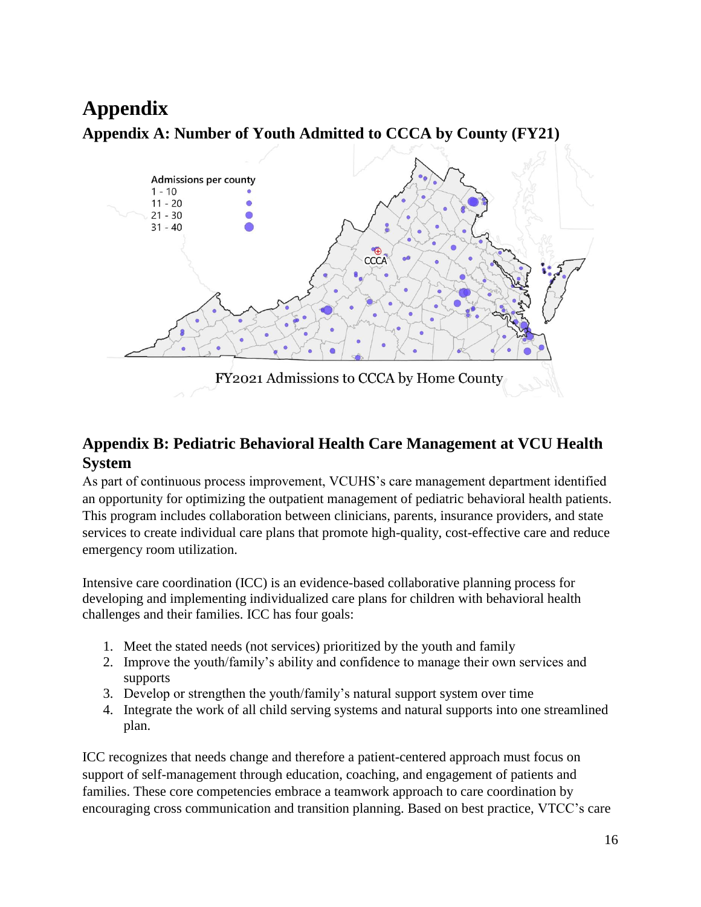## <span id="page-19-1"></span><span id="page-19-0"></span>**Appendix Appendix A: Number of Youth Admitted to CCCA by County (FY21)**



## <span id="page-19-2"></span>**Appendix B: Pediatric Behavioral Health Care Management at VCU Health System**

As part of continuous process improvement, VCUHS's care management department identified an opportunity for optimizing the outpatient management of pediatric behavioral health patients. This program includes collaboration between clinicians, parents, insurance providers, and state services to create individual care plans that promote high-quality, cost-effective care and reduce emergency room utilization.

Intensive care coordination (ICC) is an evidence-based collaborative planning process for developing and implementing individualized care plans for children with behavioral health challenges and their families. ICC has four goals:

- 1. Meet the stated needs (not services) prioritized by the youth and family
- 2. Improve the youth/family's ability and confidence to manage their own services and supports
- 3. Develop or strengthen the youth/family's natural support system over time
- 4. Integrate the work of all child serving systems and natural supports into one streamlined plan.

ICC recognizes that needs change and therefore a patient-centered approach must focus on support of self-management through education, coaching, and engagement of patients and families. These core competencies embrace a teamwork approach to care coordination by encouraging cross communication and transition planning. Based on best practice, VTCC's care